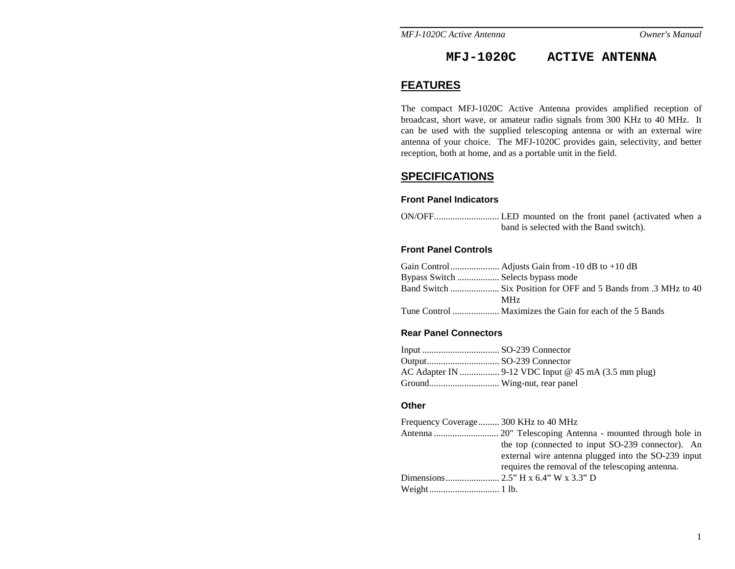*MFJ-1020C Active Antenna* 

# **MFJ-1020C ACTIVE ANTENNA**

## **FEATURES**

The compact MFJ-1020C Active Antenna provides amplified reception of broadcast, short wave, or amateur radio signals from 300 KHz to 40 MHz. It can be used with the supplied telescoping antenna or with an external wire antenna of your choice. The MFJ-1020C provides gain, selectivity, and better reception, both at home, and as a portable unit in the field.

# **SPECIFICATIONS**

#### **Front Panel Indicators**

| band is selected with the Band switch). |  |  |  |
|-----------------------------------------|--|--|--|

## **Front Panel Controls**

| Bypass Switch  Selects bypass mode |            |
|------------------------------------|------------|
|                                    |            |
|                                    | <b>MHz</b> |
|                                    |            |

## **Rear Panel Connectors**

#### **Other**

| Frequency Coverage 300 KHz to 40 MHz |                                                     |
|--------------------------------------|-----------------------------------------------------|
|                                      |                                                     |
|                                      | the top (connected to input SO-239 connector). An   |
|                                      | external wire antenna plugged into the SO-239 input |
|                                      | requires the removal of the telescoping antenna.    |
|                                      |                                                     |
|                                      |                                                     |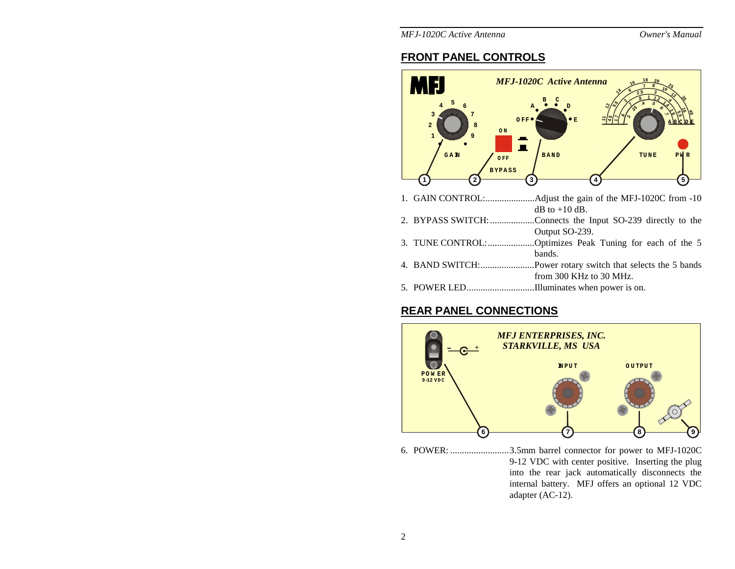Owner's Manual

*MFJ-1020C Active Antenna* 

## **FRONT PANEL CONTROLS**



# **REAR PANEL CONNECTIONS**



6. POWER: .........................3.5mm barrel connector for power to MFJ-1020C 9-12 VDC with center positive. Inserting the plug into the rear jack automatically disconnects the internal battery. MFJ offers an optional 12 VDC adapter (AC-12).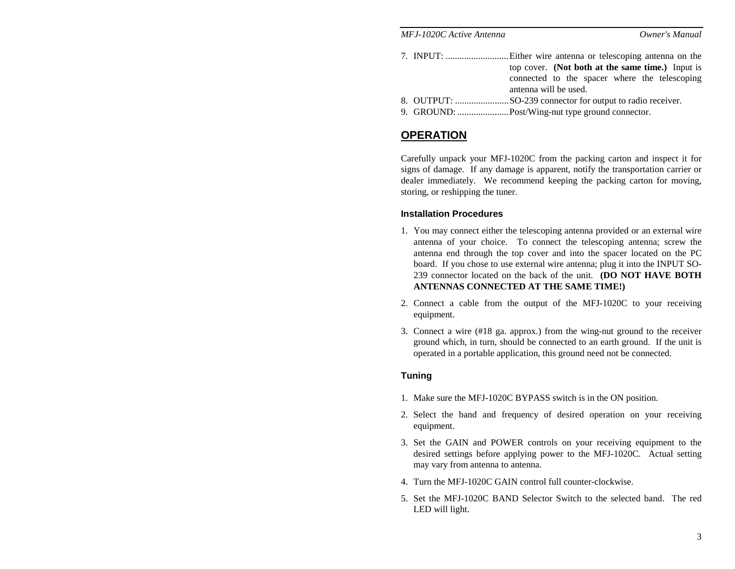|        | MFJ-1020C Active Antenna                         | Owner's Manual                                                         |
|--------|--------------------------------------------------|------------------------------------------------------------------------|
|        |                                                  | top cover. (Not both at the same time.) Input is                       |
|        |                                                  | connected to the spacer where the telescoping<br>antenna will be used. |
| $\sim$ | $\sim$ $\sim$ $\sim$ $\sim$ $\sim$ $\sim$ $\sim$ |                                                                        |

- 8. OUTPUT: .......................SO-239 connector for output to radio receiver.
- 9. GROUND: ......................Post/Wing-nut type ground connector.

## **OPERATION**

Carefully unpack your MFJ-1020C from the packing carton and inspect it for signs of damage. If any damage is apparent, notify the transportation carrier or dealer immediately. We recommend keeping the packing carton for moving, storing, or reshipping the tuner.

### **Installation Procedures**

- 1. You may connect either the telescoping antenna provided or an external wire antenna of your choice. To connect the telescoping antenna; screw the antenna end through the top cover and into the spacer located on the PC board. If you chose to use external wire antenna; plug it into the INPUT SO-239 connector located on the back of the unit. **(DO NOT HAVE BOTH ANTENNAS CONNECTED AT THE SAME TIME!)**
- 2. Connect a cable from the output of the MFJ-1020C to your receiving equipment.
- 3. Connect a wire (#18 ga. approx.) from the wing-nut ground to the receiver ground which, in turn, should be connected to an earth ground. If the unit is operated in a portable application, this ground need not be connected.

## **Tuning**

- 1. Make sure the MFJ-1020C BYPASS switch is in the ON position.
- 2. Select the band and frequency of desired operation on your receiving equipment.
- 3. Set the GAIN and POWER controls on your receiving equipment to the desired settings before applying power to the MFJ-1020C. Actual setting may vary from antenna to antenna.
- 4. Turn the MFJ-1020C GAIN control full counter-clockwise.
- 5. Set the MFJ-1020C BAND Selector Switch to the selected band. The red LED will light.